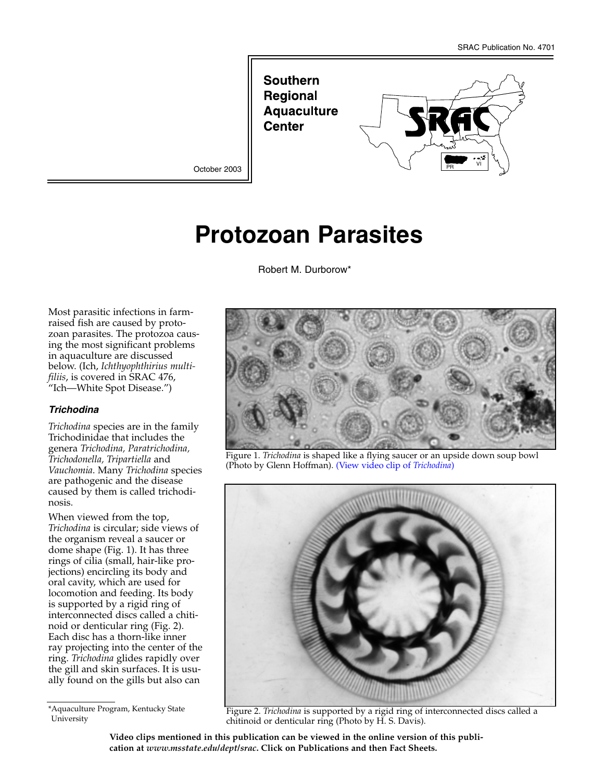**Southern Regional Aquaculture Center** 



October 2003

# **Protozoan Parasites**

Robert M. Durborow\*

Most parasitic infections in farmraised fish are caused by protozoan parasites. The protozoa causing the most significant problems in aquaculture are discussed below. (Ich, *Ichthyophthirius multifiliis*, is covered in SRAC 476, "Ich—White Spot Disease.")

#### *Trichodina*

*Trichodina* species are in the family Trichodinidae that includes the genera *Trichodina, Paratrichodina, Trichodonella, Tripartiella* and *Vauchomia*. Many *Trichodina* species are pathogenic and the disease caused by them is called trichodinosis.

When viewed from the top, *Trichodina* is circular; side views of the organism reveal a saucer or dome shape (Fig. 1). It has three rings of cilia (small, hair-like projections) encircling its body and oral cavity, which are used for locomotion and feeding. Its body is supported by a rigid ring of interconnected discs called a chitinoid or denticular ring (Fig. 2). Each disc has a thorn-like inner ray projecting into the center of the ring. *Trichodina* glides rapidly over the gill and skin surfaces. It is usually found on the gills but also can

\*Aquaculture Program, Kentucky State University



Figure 1. *Trichodina* is shaped like a flying saucer or an upside down soup bowl (Photo by Glenn Hoffman). (View video clip of *Trichodina*)



Figure 2. *Trichodina* is supported by a rigid ring of interconnected discs called a chitinoid or denticular ring (Photo by H. S. Davis).

**Video clips mentioned in this publication can be viewed in the online version of this publication at** *www.msstate.edu/dept/srac***. Click on Publications and then Fact Sheets.**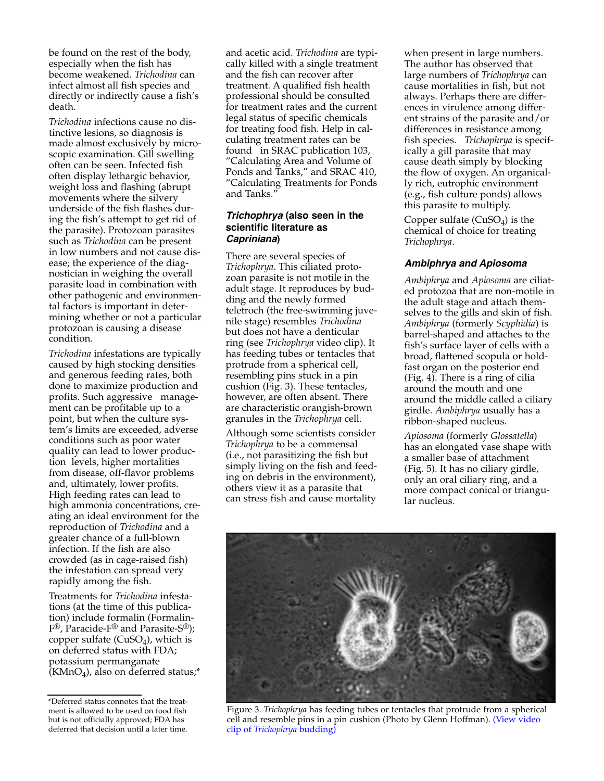be found on the rest of the body, especially when the fish has become weakened. *Trichodina* can infect almost all fish species and directly or indirectly cause a fish's death.

*Trichodina* infections cause no distinctive lesions, so diagnosis is made almost exclusively by microscopic examination. Gill swelling often can be seen. Infected fish often display lethargic behavior, weight loss and flashing (abrupt movements where the silvery underside of the fish flashes during the fish's attempt to get rid of the parasite). Protozoan parasites such as *Trichodina* can be present in low numbers and not cause disease; the experience of the diagnostician in weighing the overall parasite load in combination with other pathogenic and environmental factors is important in determining whether or not a particular protozoan is causing a disease condition.

*Trichodina* infestations are typically caused by high stocking densities and generous feeding rates, both done to maximize production and profits. Such aggressive management can be profitable up to a point, but when the culture system's limits are exceeded, adverse conditions such as poor water quality can lead to lower production levels, higher mortalities from disease, off-flavor problems and, ultimately, lower profits. High feeding rates can lead to high ammonia concentrations, creating an ideal environment for the reproduction of *Trichodina* and a greater chance of a full-blown infection. If the fish are also crowded (as in cage-raised fish) the infestation can spread very rapidly among the fish.

Treatments for *Trichodina* infestations (at the time of this publication) include formalin (Formalin-F®, Paracide-F® and Parasite-S®); copper sulfate  $(CuSO<sub>4</sub>)$ , which is on deferred status with FDA; potassium permanganate  $(KMnO<sub>4</sub>)$ , also on deferred status;\* and acetic acid. *Trichodina* are typically killed with a single treatment and the fish can recover after treatment. A qualified fish health professional should be consulted for treatment rates and the current legal status of specific chemicals for treating food fish. Help in calculating treatment rates can be found in SRAC publication 103, "Calculating Area and Volume of Ponds and Tanks," and SRAC 410, "Calculating Treatments for Ponds and Tanks."

## *Trichophrya* **(also seen in the scientific literature as** *Capriniana***)**

There are several species of *Trichophrya*. This ciliated protozoan parasite is not motile in the adult stage. It reproduces by budding and the newly formed teletroch (the free-swimming juvenile stage) resembles *Trichodina* but does not have a denticular ring (see *Trichophrya* video clip). It has feeding tubes or tentacles that protrude from a spherical cell, resembling pins stuck in a pin cushion (Fig. 3). These tentacles, however, are often absent. There are characteristic orangish-brown granules in the *Trichophrya* cell.

Although some scientists consider *Trichophrya* to be a commensal (i.e., not parasitizing the fish but simply living on the fish and feeding on debris in the environment), others view it as a parasite that can stress fish and cause mortality

when present in large numbers. The author has observed that large numbers of *Trichophrya* can cause mortalities in fish, but not always. Perhaps there are differences in virulence among different strains of the parasite and/or differences in resistance among fish species. *Trichophrya* is specifically a gill parasite that may cause death simply by blocking the flow of oxygen. An organically rich, eutrophic environment (e.g., fish culture ponds) allows this parasite to multiply.

Copper sulfate  $(CuSO<sub>4</sub>)$  is the chemical of choice for treating *Trichophrya*.

## *Ambiphrya and Apiosoma*

*Ambiphrya* and *Apiosoma* are ciliated protozoa that are non-motile in the adult stage and attach themselves to the gills and skin of fish. *Ambiphrya* (formerly *Scyphidia*) is barrel-shaped and attaches to the fish's surface layer of cells with a broad, flattened scopula or holdfast organ on the posterior end (Fig. 4). There is a ring of cilia around the mouth and one around the middle called a ciliary girdle. *Ambiphrya* usually has a ribbon-shaped nucleus.

*Apiosoma* (formerly *Glossatella*) has an elongated vase shape with a smaller base of attachment (Fig. 5). It has no ciliary girdle, only an oral ciliary ring, and a more compact conical or triangular nucleus.



Figure 3. *Trichophrya* has feeding tubes or tentacles that protrude from a spherical cell and resemble pins in a pin cushion (Photo by Glenn Hoffman). (View video clip of *Trichophrya* budding)

<sup>\*</sup>Deferred status connotes that the treatment is allowed to be used on food fish but is not officially approved; FDA has deferred that decision until a later time.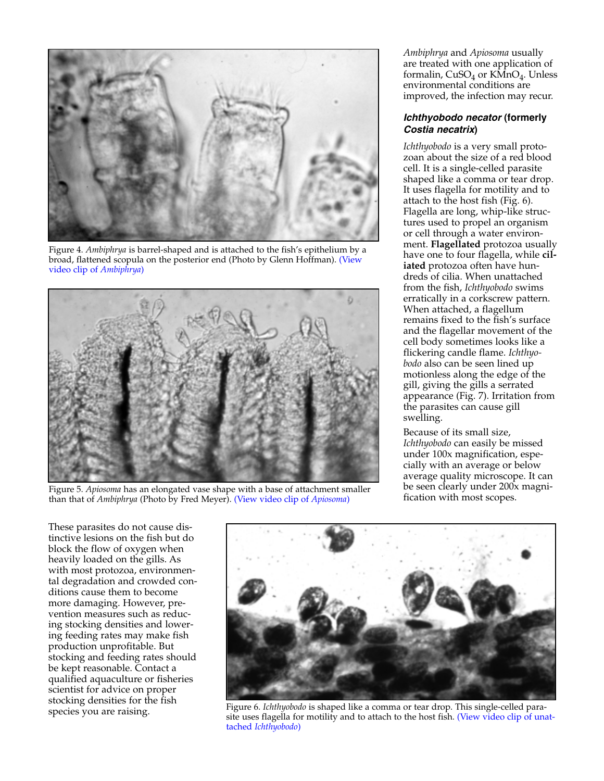

Figure 4. *Ambiphrya* is barrel-shaped and is attached to the fish's epithelium by a broad, flattened scopula on the posterior end (Photo by Glenn Hoffman). (View video clip of *Ambiphrya*)



Figure 5. *Apiosoma* has an elongated vase shape with a base of attachment smaller than that of *Ambiphrya* (Photo by Fred Meyer). (View video clip of *Apiosoma*)

*Ambiphrya* and *Apiosoma* usually are treated with one application of formalin,  $CuSO<sub>4</sub>$  or  $K\overline{M}nO<sub>4</sub>$ . Unless environmental conditions are improved, the infection may recur.

### *Ichthyobodo necator* **(formerly** *Costia necatrix***)**

*Ichthyobodo* is a very small protozoan about the size of a red blood cell. It is a single-celled parasite shaped like a comma or tear drop. It uses flagella for motility and to attach to the host fish (Fig. 6). Flagella are long, whip-like structures used to propel an organism or cell through a water environment. **Flagellated** protozoa usually have one to four flagella, while **ciliated** protozoa often have hundreds of cilia. When unattached from the fish, *Ichthyobodo* swims erratically in a corkscrew pattern. When attached, a flagellum remains fixed to the fish's surface and the flagellar movement of the cell body sometimes looks like a flickering candle flame. *Ichthyobodo* also can be seen lined up motionless along the edge of the gill, giving the gills a serrated appearance (Fig. 7). Irritation from the parasites can cause gill swelling.

Because of its small size, *Ichthyobodo* can easily be missed under 100x magnification, especially with an average or below average quality microscope. It can be seen clearly under 200x magnification with most scopes.

These parasites do not cause distinctive lesions on the fish but do block the flow of oxygen when heavily loaded on the gills. As with most protozoa, environmental degradation and crowded conditions cause them to become more damaging. However, prevention measures such as reducing stocking densities and lowering feeding rates may make fish production unprofitable. But stocking and feeding rates should be kept reasonable. Contact a qualified aquaculture or fisheries scientist for advice on proper stocking densities for the fish species you are raising.



Figure 6. *Ichthyobodo* is shaped like a comma or tear drop. This single-celled parasite uses flagella for motility and to attach to the host fish. (View video clip of unattached *Ichthyobodo*)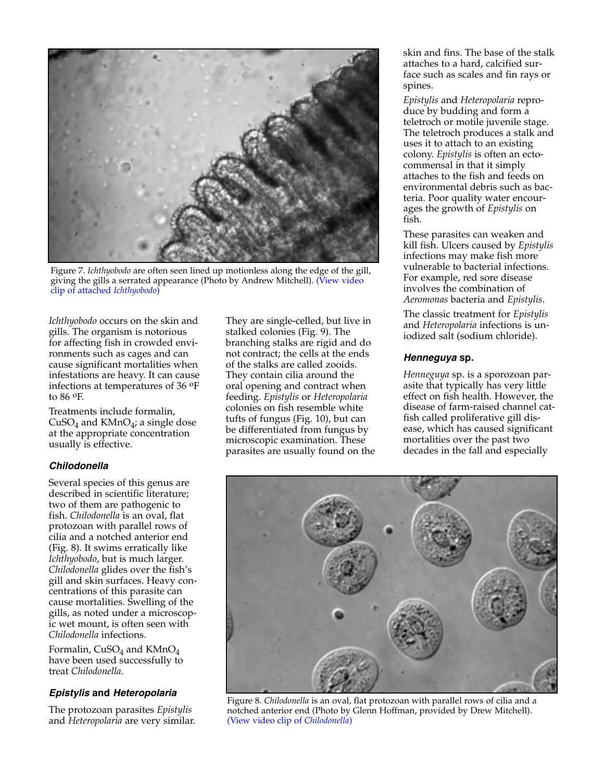

Figure 7. *Ichthyobodo* are often seen lined up motionless along the edge of the gill, giving the gills a serrated appearance (Photo by Andrew Mitchell). (View video clip of attached *Ichthyobodo*)

*Ichthyobodo* occurs on the skin and gills. The organism is notorious for affecting fish in crowded environments such as cages and can cause significant mortalities when infestations are heavy. It can cause infections at temperatures of 36 oF to 86 oF.

Treatments include formalin, CuSO<sub>4</sub> and KMnO<sub>4</sub>; a single dose at the appropriate concentration usually is effective.

#### *Chilodonella*

Several species of this genus are described in scientific literature; two of them are pathogenic to fish. *Chilodonella* is an oval, flat protozoan with parallel rows of cilia and a notched anterior end (Fig. 8). It swims erratically like *Ichthyobodo*, but is much larger. *Chilodonella* glides over the fish's gill and skin surfaces. Heavy concentrations of this parasite can cause mortalities. Swelling of the gills, as noted under a microscopic wet mount, is often seen with *Chilodonella* infections.

Formalin,  $CuSO<sub>4</sub>$  and  $KMnO<sub>4</sub>$ have been used successfully to treat *Chilodonella*.

#### *Epistylis* **and** *Heteropolaria*

The protozoan parasites *Epistylis* and *Heteropolaria* are very similar. They are single-celled, but live in stalked colonies (Fig. 9). The branching stalks are rigid and do not contract; the cells at the ends of the stalks are called zooids. They contain cilia around the oral opening and contract when feeding. *Epistylis* or *Heteropolaria* colonies on fish resemble white tufts of fungus (Fig. 10), but can be differentiated from fungus by microscopic examination. These parasites are usually found on the skin and fins. The base of the stalk attaches to a hard, calcified surface such as scales and fin rays or spines.

*Epistylis* and *Heteropolaria* reproduce by budding and form a teletroch or motile juvenile stage. The teletroch produces a stalk and uses it to attach to an existing colony. *Epistylis* is often an ectocommensal in that it simply attaches to the fish and feeds on environmental debris such as bacteria. Poor quality water encourages the growth of *Epistylis* on fish.

These parasites can weaken and kill fish. Ulcers caused by *Epistylis* infections may make fish more vulnerable to bacterial infections. For example, red sore disease involves the combination of *Aeromonas* bacteria and *Epistylis*.

The classic treatment for *Epistylis* and *Heteropolaria* infections is uniodized salt (sodium chloride).

## *Henneguya* **sp.**

*Henneguya* sp. is a sporozoan parasite that typically has very little effect on fish health. However, the disease of farm-raised channel catfish called proliferative gill disease, which has caused significant mortalities over the past two decades in the fall and especially



Figure 8. *Chilodonella* is an oval, flat protozoan with parallel rows of cilia and a notched anterior end (Photo by Glenn Hoffman, provided by Drew Mitchell). (View video clip of *Chilodonella*)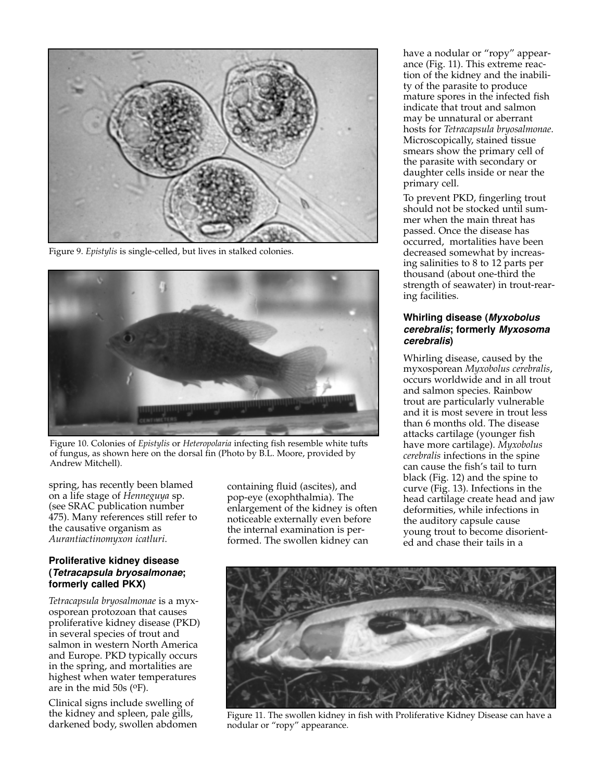

Figure 9. *Epistylis* is single-celled, but lives in stalked colonies.



Figure 10. Colonies of *Epistylis* or *Heteropolaria* infecting fish resemble white tufts of fungus, as shown here on the dorsal fin (Photo by B.L. Moore, provided by Andrew Mitchell).

spring, has recently been blamed on a life stage of *Henneguya* sp. (see SRAC publication number 475). Many references still refer to the causative organism as *Aurantiactinomyxon icatluri*.

## **Proliferative kidney disease (***Tetracapsula bryosalmonae***; formerly called PKX)**

*Tetracapsula bryosalmonae* is a myxosporean protozoan that causes proliferative kidney disease (PKD) in several species of trout and salmon in western North America and Europe. PKD typically occurs in the spring, and mortalities are highest when water temperatures are in the mid 50s (oF).

Clinical signs include swelling of the kidney and spleen, pale gills, darkened body, swollen abdomen containing fluid (ascites), and pop-eye (exophthalmia). The enlargement of the kidney is often noticeable externally even before the internal examination is performed. The swollen kidney can

have a nodular or "ropy" appearance (Fig. 11). This extreme reaction of the kidney and the inability of the parasite to produce mature spores in the infected fish indicate that trout and salmon may be unnatural or aberrant hosts for *Tetracapsula bryosalmonae*. Microscopically, stained tissue smears show the primary cell of the parasite with secondary or daughter cells inside or near the primary cell.

To prevent PKD, fingerling trout should not be stocked until summer when the main threat has passed. Once the disease has occurred, mortalities have been decreased somewhat by increasing salinities to 8 to 12 parts per thousand (about one-third the strength of seawater) in trout-rearing facilities.

## **Whirling disease (***Myxobolus cerebralis***; formerly** *Myxosoma cerebralis***)**

Whirling disease, caused by the myxosporean *Myxobolus cerebralis*, occurs worldwide and in all trout and salmon species. Rainbow trout are particularly vulnerable and it is most severe in trout less than 6 months old. The disease attacks cartilage (younger fish have more cartilage). *Myxobolus cerebralis* infections in the spine can cause the fish's tail to turn black (Fig. 12) and the spine to curve (Fig. 13). Infections in the head cartilage create head and jaw deformities, while infections in the auditory capsule cause young trout to become disoriented and chase their tails in a



Figure 11. The swollen kidney in fish with Proliferative Kidney Disease can have a nodular or "ropy" appearance.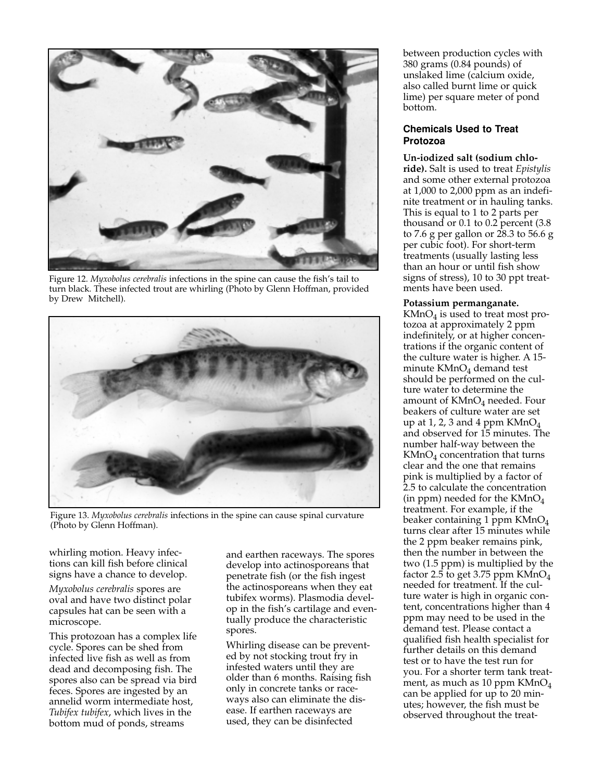

Figure 12. *Myxobolus cerebralis* infections in the spine can cause the fish's tail to turn black. These infected trout are whirling (Photo by Glenn Hoffman, provided by Drew Mitchell).



Figure 13. *Myxobolus cerebralis* infections in the spine can cause spinal curvature (Photo by Glenn Hoffman).

whirling motion. Heavy infections can kill fish before clinical signs have a chance to develop.

*Myxobolus cerebralis* spores are oval and have two distinct polar capsules hat can be seen with a microscope.

This protozoan has a complex life cycle. Spores can be shed from infected live fish as well as from dead and decomposing fish. The spores also can be spread via bird feces. Spores are ingested by an annelid worm intermediate host, *Tubifex tubifex*, which lives in the bottom mud of ponds, streams

and earthen raceways. The spores develop into actinosporeans that penetrate fish (or the fish ingest the actinosporeans when they eat tubifex worms). Plasmodia develop in the fish's cartilage and eventually produce the characteristic spores.

Whirling disease can be prevented by not stocking trout fry in infested waters until they are older than 6 months. Raising fish only in concrete tanks or raceways also can eliminate the disease. If earthen raceways are used, they can be disinfected

between production cycles with 380 grams (0.84 pounds) of unslaked lime (calcium oxide, also called burnt lime or quick lime) per square meter of pond bottom.

## **Chemicals Used to Treat Protozoa**

**Un-iodized salt (sodium chloride).** Salt is used to treat *Epistylis* and some other external protozoa at 1,000 to 2,000 ppm as an indefinite treatment or in hauling tanks. This is equal to 1 to 2 parts per thousand or 0.1 to 0.2 percent (3.8 to 7.6 g per gallon or 28.3 to 56.6 g per cubic foot). For short-term treatments (usually lasting less than an hour or until fish show signs of stress), 10 to 30 ppt treatments have been used.

#### **Potassium permanganate.**

 $KMnO<sub>4</sub>$  is used to treat most protozoa at approximately 2 ppm indefinitely, or at higher concentrations if the organic content of the culture water is higher. A 15 minute  $KMnO<sub>4</sub>$  demand test should be performed on the culture water to determine the amount of  $KMnO<sub>4</sub>$  needed. Four beakers of culture water are set up at 1, 2, 3 and 4 ppm  $KMnO<sub>4</sub>$ and observed for 15 minutes. The number half-way between the  $KMnO<sub>4</sub>$  concentration that turns clear and the one that remains pink is multiplied by a factor of 2.5 to calculate the concentration (in ppm) needed for the  $KMnO<sub>4</sub>$ treatment. For example, if the beaker containing 1 ppm KMnO<sub>4</sub> turns clear after 15 minutes while the 2 ppm beaker remains pink, then the number in between the two (1.5 ppm) is multiplied by the factor 2.5 to get 3.75 ppm KMnO<sub>4</sub> needed for treatment. If the culture water is high in organic content, concentrations higher than 4 ppm may need to be used in the demand test. Please contact a qualified fish health specialist for further details on this demand test or to have the test run for you. For a shorter term tank treatment, as much as 10 ppm  $KMnO<sub>4</sub>$ can be applied for up to 20 minutes; however, the fish must be observed throughout the treat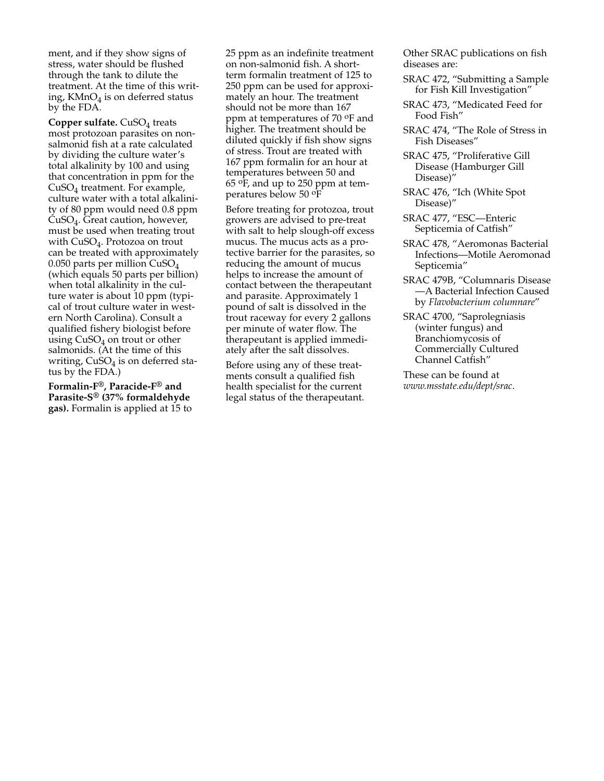ment, and if they show signs of stress, water should be flushed through the tank to dilute the treatment. At the time of this writing,  $KMnO<sub>4</sub>$  is on deferred status by the FDA.

**Copper sulfate.** CuSO<sub>4</sub> treats most protozoan parasites on nonsalmonid fish at a rate calculated by dividing the culture water's total alkalinity by 100 and using that concentration in ppm for the CuSO4 treatment. For example, culture water with a total alkalinity of 80 ppm would need 0.8 ppm CuSO4. Great caution, however, must be used when treating trout with CuSO<sub>4</sub>. Protozoa on trout can be treated with approximately 0.050 parts per million  $CuSO<sub>4</sub>$ (which equals 50 parts per billion) when total alkalinity in the culture water is about 10 ppm (typical of trout culture water in western North Carolina). Consult a qualified fishery biologist before using  $CuSO<sub>4</sub>$  on trout or other salmonids. (At the time of this writing,  $CuSO<sub>4</sub>$  is on deferred status by the FDA.)

**Formalin-F®, Paracide-F® and Parasite-S® (37% formaldehyde gas).** Formalin is applied at 15 to 25 ppm as an indefinite treatment on non-salmonid fish. A shortterm formalin treatment of 125 to 250 ppm can be used for approximately an hour. The treatment should not be more than 167 ppm at temperatures of 70 oF and higher. The treatment should be diluted quickly if fish show signs of stress. Trout are treated with 167 ppm formalin for an hour at temperatures between 50 and 65 oF, and up to 250 ppm at temperatures below 50 oF

Before treating for protozoa, trout growers are advised to pre-treat with salt to help slough-off excess mucus. The mucus acts as a protective barrier for the parasites, so reducing the amount of mucus helps to increase the amount of contact between the therapeutant and parasite. Approximately 1 pound of salt is dissolved in the trout raceway for every 2 gallons per minute of water flow. The therapeutant is applied immediately after the salt dissolves.

Before using any of these treatments consult a qualified fish health specialist for the current legal status of the therapeutant. Other SRAC publications on fish diseases are:

- SRAC 472, "Submitting a Sample for Fish Kill Investigation"
- SRAC 473, "Medicated Feed for Food Fish"
- SRAC 474, "The Role of Stress in Fish Diseases"
- SRAC 475, "Proliferative Gill Disease (Hamburger Gill Disease)"
- SRAC 476, "Ich (White Spot Disease)"
- SRAC 477, "ESC—Enteric Septicemia of Catfish"
- SRAC 478, "Aeromonas Bacterial Infections—Motile Aeromonad Septicemia"
- SRAC 479B, "Columnaris Disease —A Bacterial Infection Caused by *Flavobacterium columnare*"
- SRAC 4700, "Saprolegniasis (winter fungus) and Branchiomycosis of Commercially Cultured Channel Catfish"

These can be found at *www.msstate.edu/dept/srac*.